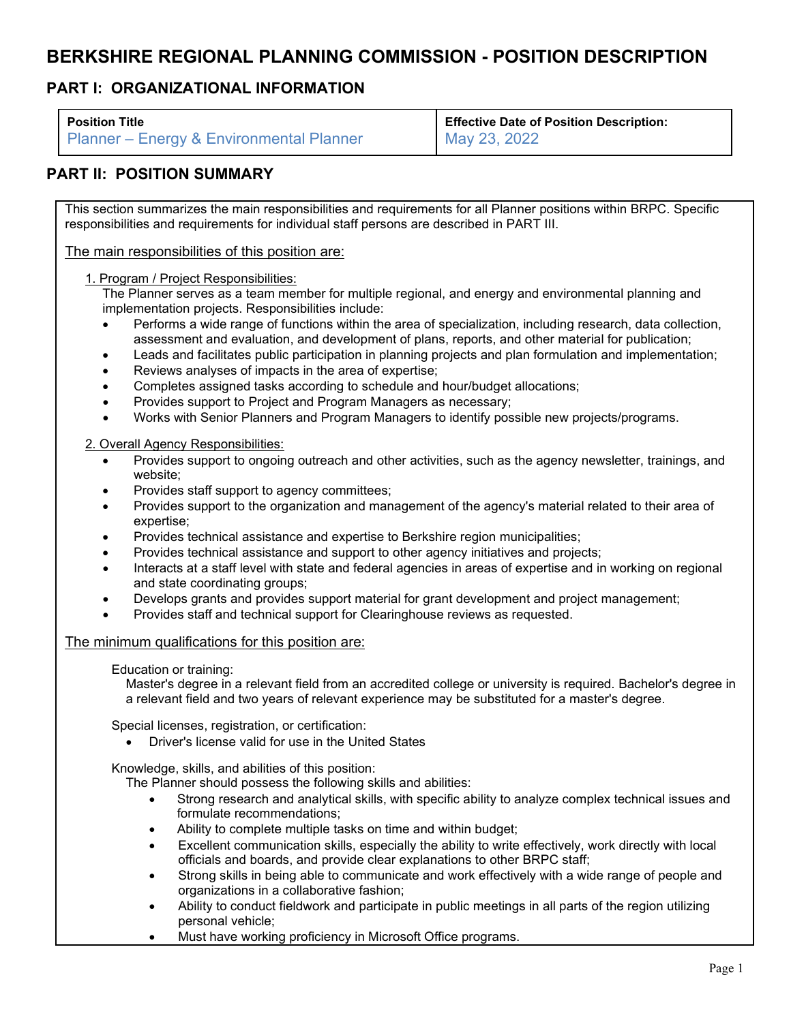# **BERKSHIRE REGIONAL PLANNING COMMISSION - POSITION DESCRIPTION**

## **PART I: ORGANIZATIONAL INFORMATION**

| <b>Position Title</b>                               | <b>Effective Date of Position Description:</b> |
|-----------------------------------------------------|------------------------------------------------|
| <b>Planner – Energy &amp; Environmental Planner</b> | May 23, 2022                                   |

## **PART II: POSITION SUMMARY**

This section summarizes the main responsibilities and requirements for all Planner positions within BRPC. Specific responsibilities and requirements for individual staff persons are described in PART III.

The main responsibilities of this position are:

1. Program / Project Responsibilities:

The Planner serves as a team member for multiple regional, and energy and environmental planning and implementation projects. Responsibilities include:

- Performs a wide range of functions within the area of specialization, including research, data collection, assessment and evaluation, and development of plans, reports, and other material for publication;
- Leads and facilitates public participation in planning projects and plan formulation and implementation;
- Reviews analyses of impacts in the area of expertise;
- Completes assigned tasks according to schedule and hour/budget allocations;
- Provides support to Project and Program Managers as necessary;
- Works with Senior Planners and Program Managers to identify possible new projects/programs.

2. Overall Agency Responsibilities:

- Provides support to ongoing outreach and other activities, such as the agency newsletter, trainings, and website;
- Provides staff support to agency committees;
- Provides support to the organization and management of the agency's material related to their area of expertise;
- Provides technical assistance and expertise to Berkshire region municipalities;
- Provides technical assistance and support to other agency initiatives and projects;
- Interacts at a staff level with state and federal agencies in areas of expertise and in working on regional and state coordinating groups;
- Develops grants and provides support material for grant development and project management;
- Provides staff and technical support for Clearinghouse reviews as requested.

### The minimum qualifications for this position are:

#### Education or training:

Master's degree in a relevant field from an accredited college or university is required. Bachelor's degree in a relevant field and two years of relevant experience may be substituted for a master's degree.

Special licenses, registration, or certification:

• Driver's license valid for use in the United States

Knowledge, skills, and abilities of this position:

- The Planner should possess the following skills and abilities:
	- Strong research and analytical skills, with specific ability to analyze complex technical issues and formulate recommendations;
	- Ability to complete multiple tasks on time and within budget;
	- Excellent communication skills, especially the ability to write effectively, work directly with local officials and boards, and provide clear explanations to other BRPC staff;
	- Strong skills in being able to communicate and work effectively with a wide range of people and organizations in a collaborative fashion;
	- Ability to conduct fieldwork and participate in public meetings in all parts of the region utilizing personal vehicle;
	- Must have working proficiency in Microsoft Office programs.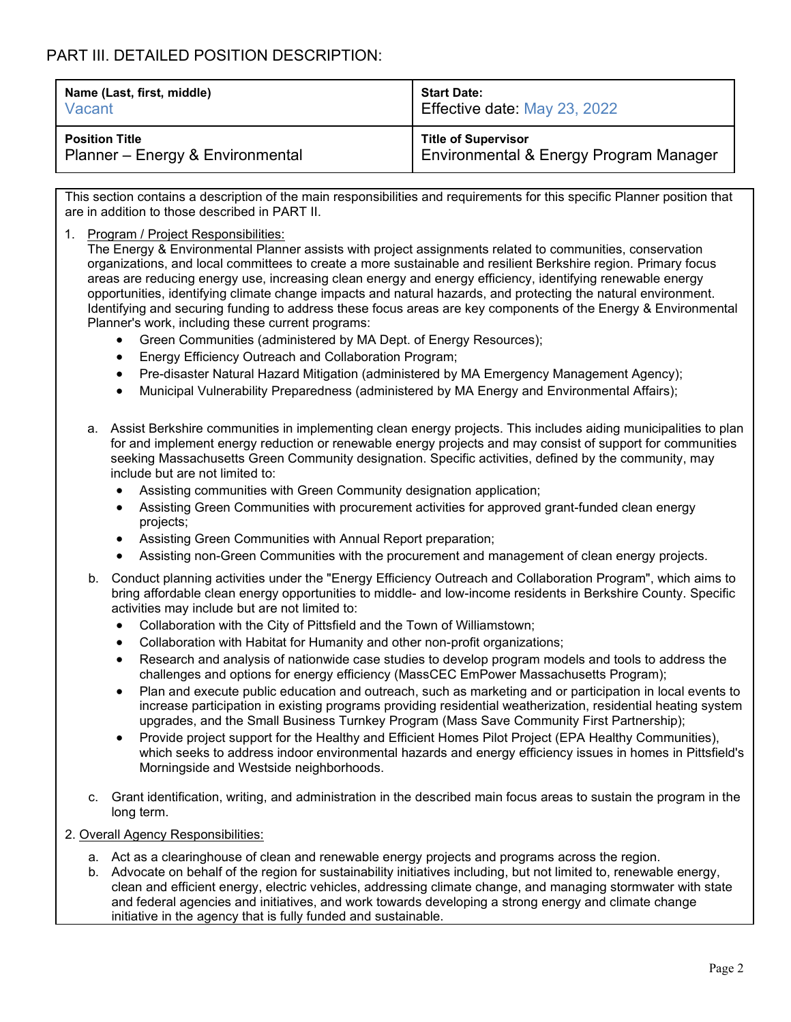# PART III. DETAILED POSITION DESCRIPTION:

| Name (Last, first, middle)       | <b>Start Date:</b>                     |
|----------------------------------|----------------------------------------|
| Vacant                           | Effective date: May 23, 2022           |
| <b>Position Title</b>            | <b>Title of Supervisor</b>             |
| Planner – Energy & Environmental | Environmental & Energy Program Manager |

This section contains a description of the main responsibilities and requirements for this specific Planner position that are in addition to those described in PART II.

1. Program / Project Responsibilities:

The Energy & Environmental Planner assists with project assignments related to communities, conservation organizations, and local committees to create a more sustainable and resilient Berkshire region. Primary focus areas are reducing energy use, increasing clean energy and energy efficiency, identifying renewable energy opportunities, identifying climate change impacts and natural hazards, and protecting the natural environment. Identifying and securing funding to address these focus areas are key components of the Energy & Environmental Planner's work, including these current programs:

- Green Communities (administered by MA Dept. of Energy Resources);
- Energy Efficiency Outreach and Collaboration Program;
- Pre-disaster Natural Hazard Mitigation (administered by MA Emergency Management Agency);
- Municipal Vulnerability Preparedness (administered by MA Energy and Environmental Affairs);
- a. Assist Berkshire communities in implementing clean energy projects. This includes aiding municipalities to plan for and implement energy reduction or renewable energy projects and may consist of support for communities seeking Massachusetts Green Community designation. Specific activities, defined by the community, may include but are not limited to:
	- Assisting communities with Green Community designation application;
	- Assisting Green Communities with procurement activities for approved grant-funded clean energy projects;
	- Assisting Green Communities with Annual Report preparation;
	- Assisting non-Green Communities with the procurement and management of clean energy projects.
- b. Conduct planning activities under the "Energy Efficiency Outreach and Collaboration Program", which aims to bring affordable clean energy opportunities to middle- and low-income residents in Berkshire County. Specific activities may include but are not limited to:
	- Collaboration with the City of Pittsfield and the Town of Williamstown;
	- Collaboration with Habitat for Humanity and other non-profit organizations;
	- Research and analysis of nationwide case studies to develop program models and tools to address the challenges and options for energy efficiency (MassCEC EmPower Massachusetts Program);
	- Plan and execute public education and outreach, such as marketing and or participation in local events to increase participation in existing programs providing residential weatherization, residential heating system upgrades, and the Small Business Turnkey Program (Mass Save Community First Partnership);
	- Provide project support for the Healthy and Efficient Homes Pilot Project (EPA Healthy Communities), which seeks to address indoor environmental hazards and energy efficiency issues in homes in Pittsfield's Morningside and Westside neighborhoods.
- c. Grant identification, writing, and administration in the described main focus areas to sustain the program in the long term.
- 2. Overall Agency Responsibilities:
	- a. Act as a clearinghouse of clean and renewable energy projects and programs across the region.
	- b. Advocate on behalf of the region for sustainability initiatives including, but not limited to, renewable energy, clean and efficient energy, electric vehicles, addressing climate change, and managing stormwater with state and federal agencies and initiatives, and work towards developing a strong energy and climate change initiative in the agency that is fully funded and sustainable.